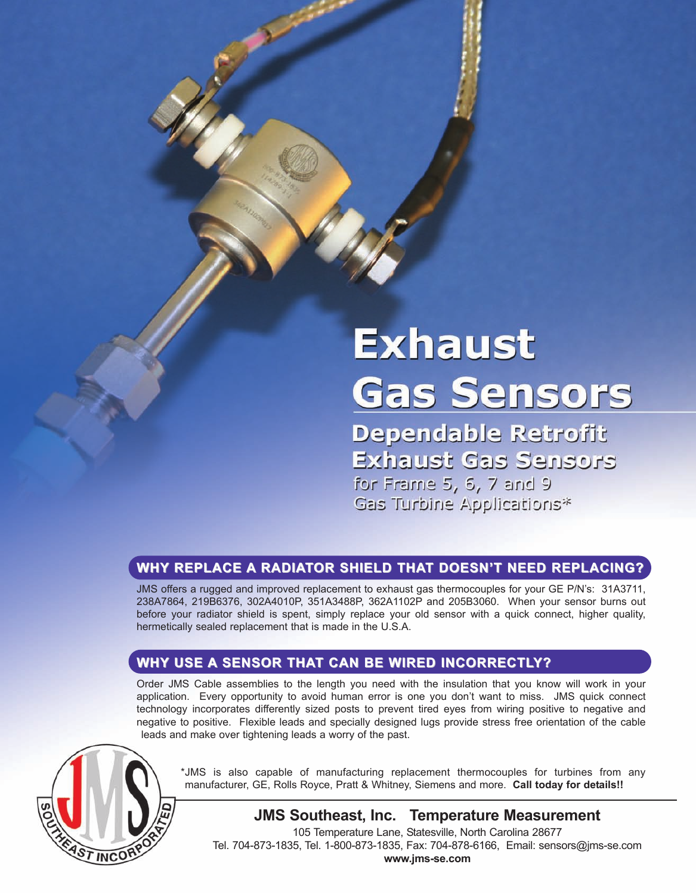# **Exhaust Gas Sensors**

Dependable Retrofit **Exhaust Gas Sensors** for Frame 5, 6, 7 and 9 Gas Turbine Applications\*

# **Why Replace a RadIaToR ShIeld ThaT doeSn'T need ReplacIng? Why Replace a RadIaToR ShIeld ThaT doeSn'T need ReplacIng?**

JMS offers a rugged and improved replacement to exhaust gas thermocouples for your GE P/N's: 31A3711, 238A7864, 219B6376, 302A4010P, 351A3488P, 362A1102P and 205B3060. When your sensor burns out before your radiator shield is spent, simply replace your old sensor with a quick connect, higher quality, hermetically sealed replacement that is made in the U.S.A.

# **Why USe a SenSoR ThaT can Be WIRed IncoRRecTly? Why USe a SenSoR ThaT can Be WIRed IncoRRecTly?**

Order JMS Cable assemblies to the length you need with the insulation that you know will work in your application. Every opportunity to avoid human error is one you don't want to miss. JMS quick connect technology incorporates differently sized posts to prevent tired eyes from wiring positive to negative and negative to positive. Flexible leads and specially designed lugs provide stress free orientation of the cable leads and make over tightening leads a worry of the past.



\*JMS is also capable of manufacturing replacement thermocouples for turbines from any manufacturer, GE, Rolls Royce, Pratt & Whitney, Siemens and more. **call today for details!!** 

**JMS Southeast, Inc. Temperature Measurement**

105 Temperature Lane, Statesville, North Carolina 28677 Tel. 704-873-1835, Tel. 1-800-873-1835, Fax: 704-878-6166, Email: sensors@jms-se.com **www.jms-se.com**